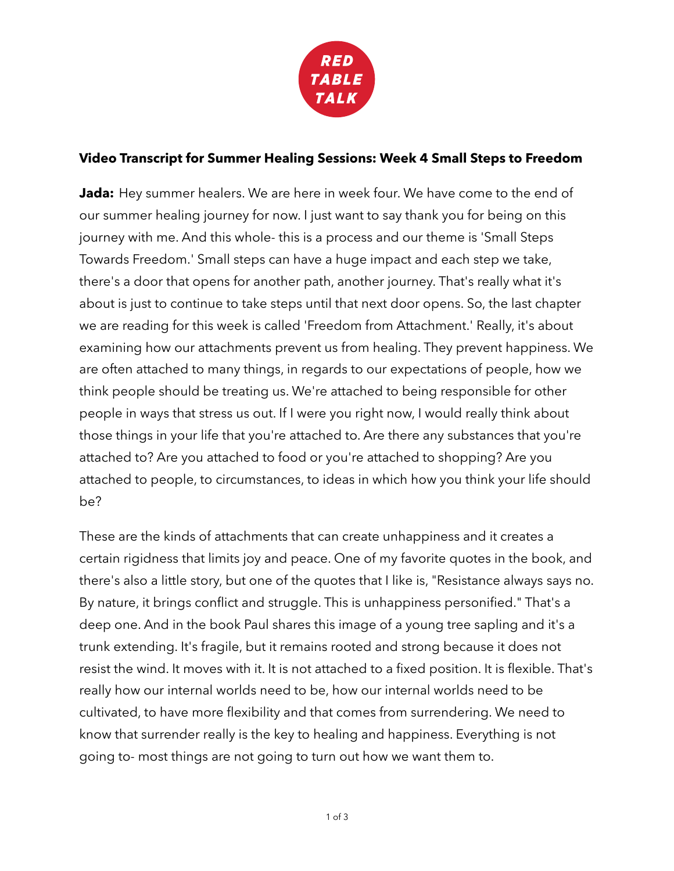

## **Video Transcript for Summer Healing Sessions: Week 4 Small Steps to Freedom**

**Jada:** Hey summer healers. We are here in week four. We have come to the end of our summer healing journey for now. I just want to say thank you for being on this journey with me. And this whole- this is a process and our theme is 'Small Steps Towards Freedom.' Small steps can have a huge impact and each step we take, there's a door that opens for another path, another journey. That's really what it's about is just to continue to take steps until that next door opens. So, the last chapter we are reading for this week is called 'Freedom from Attachment.' Really, it's about examining how our attachments prevent us from healing. They prevent happiness. We are often attached to many things, in regards to our expectations of people, how we think people should be treating us. We're attached to being responsible for other people in ways that stress us out. If I were you right now, I would really think about those things in your life that you're attached to. Are there any substances that you're attached to? Are you attached to food or you're attached to shopping? Are you attached to people, to circumstances, to ideas in which how you think your life should be?

These are the kinds of attachments that can create unhappiness and it creates a certain rigidness that limits joy and peace. One of my favorite quotes in the book, and there's also a little story, but one of the quotes that I like is, "Resistance always says no. By nature, it brings conflict and struggle. This is unhappiness personified." That's a deep one. And in the book Paul shares this image of a young tree sapling and it's a trunk extending. It's fragile, but it remains rooted and strong because it does not resist the wind. It moves with it. It is not attached to a fixed position. It is flexible. That's really how our internal worlds need to be, how our internal worlds need to be cultivated, to have more flexibility and that comes from surrendering. We need to know that surrender really is the key to healing and happiness. Everything is not going to- most things are not going to turn out how we want them to.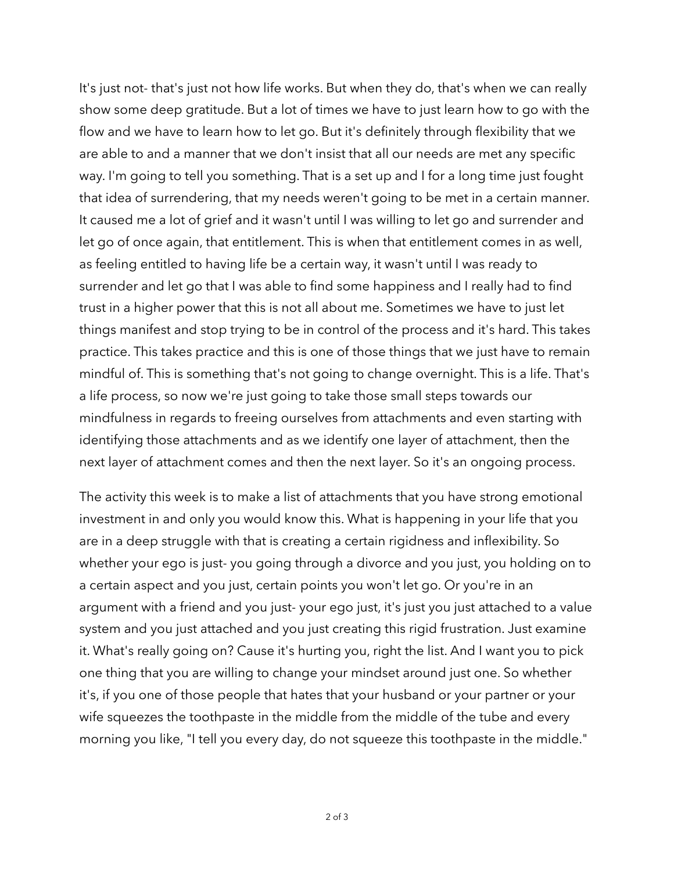It's just not- that's just not how life works. But when they do, that's when we can really show some deep gratitude. But a lot of times we have to just learn how to go with the flow and we have to learn how to let go. But it's definitely through flexibility that we are able to and a manner that we don't insist that all our needs are met any specific way. I'm going to tell you something. That is a set up and I for a long time just fought that idea of surrendering, that my needs weren't going to be met in a certain manner. It caused me a lot of grief and it wasn't until I was willing to let go and surrender and let go of once again, that entitlement. This is when that entitlement comes in as well, as feeling entitled to having life be a certain way, it wasn't until I was ready to surrender and let go that I was able to find some happiness and I really had to find trust in a higher power that this is not all about me. Sometimes we have to just let things manifest and stop trying to be in control of the process and it's hard. This takes practice. This takes practice and this is one of those things that we just have to remain mindful of. This is something that's not going to change overnight. This is a life. That's a life process, so now we're just going to take those small steps towards our mindfulness in regards to freeing ourselves from attachments and even starting with identifying those attachments and as we identify one layer of attachment, then the next layer of attachment comes and then the next layer. So it's an ongoing process.

The activity this week is to make a list of attachments that you have strong emotional investment in and only you would know this. What is happening in your life that you are in a deep struggle with that is creating a certain rigidness and inflexibility. So whether your ego is just- you going through a divorce and you just, you holding on to a certain aspect and you just, certain points you won't let go. Or you're in an argument with a friend and you just- your ego just, it's just you just attached to a value system and you just attached and you just creating this rigid frustration. Just examine it. What's really going on? Cause it's hurting you, right the list. And I want you to pick one thing that you are willing to change your mindset around just one. So whether it's, if you one of those people that hates that your husband or your partner or your wife squeezes the toothpaste in the middle from the middle of the tube and every morning you like, "I tell you every day, do not squeeze this toothpaste in the middle."